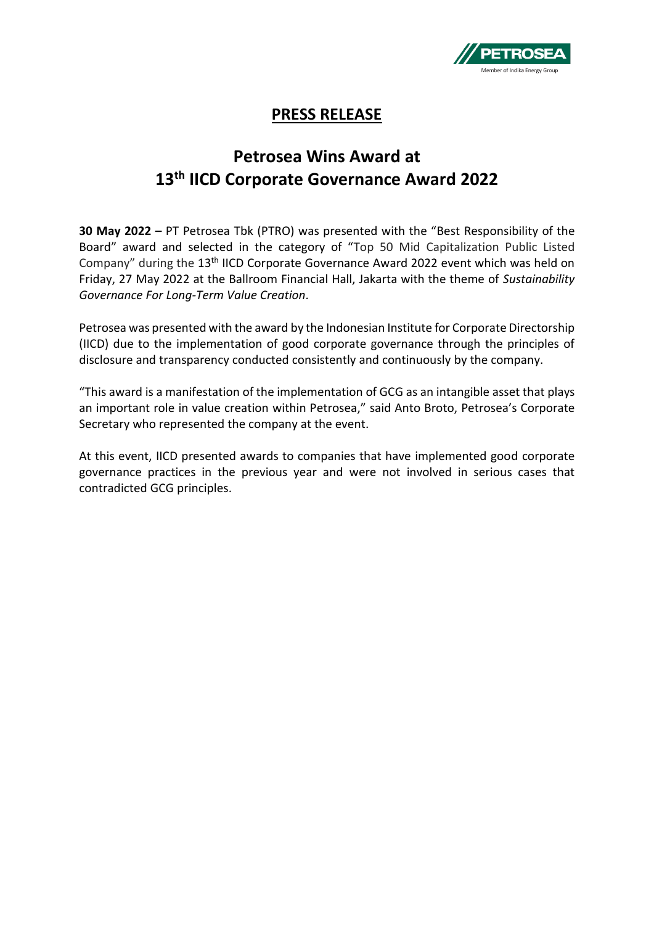

## **PRESS RELEASE**

## **Petrosea Wins Award at 13th IICD Corporate Governance Award 2022**

**30 May 2022 –** PT Petrosea Tbk (PTRO) was presented with the "Best Responsibility of the Board" award and selected in the category of "Top 50 Mid Capitalization Public Listed Company" during the 13<sup>th</sup> IICD Corporate Governance Award 2022 event which was held on Friday, 27 May 2022 at the Ballroom Financial Hall, Jakarta with the theme of *Sustainability Governance For Long-Term Value Creation*.

Petrosea was presented with the award by the Indonesian Institute for Corporate Directorship (IICD) due to the implementation of good corporate governance through the principles of disclosure and transparency conducted consistently and continuously by the company.

"This award is a manifestation of the implementation of GCG as an intangible asset that plays an important role in value creation within Petrosea," said Anto Broto, Petrosea's Corporate Secretary who represented the company at the event.

At this event, IICD presented awards to companies that have implemented good corporate governance practices in the previous year and were not involved in serious cases that contradicted GCG principles.